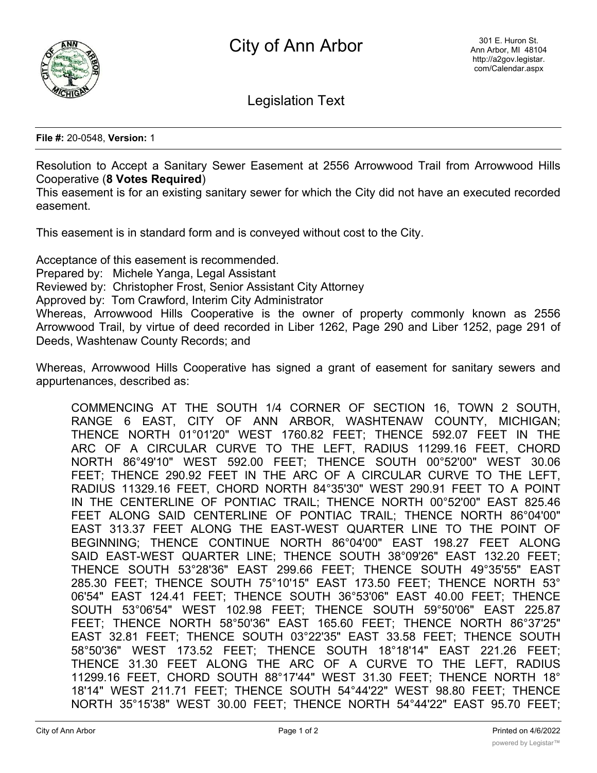

Legislation Text

**File #:** 20-0548, **Version:** 1

Resolution to Accept a Sanitary Sewer Easement at 2556 Arrowwood Trail from Arrowwood Hills Cooperative (**8 Votes Required**)

This easement is for an existing sanitary sewer for which the City did not have an executed recorded easement.

This easement is in standard form and is conveyed without cost to the City.

Acceptance of this easement is recommended. Prepared by: Michele Yanga, Legal Assistant Reviewed by: Christopher Frost, Senior Assistant City Attorney Approved by: Tom Crawford, Interim City Administrator Whereas, Arrowwood Hills Cooperative is the owner of property commonly known as 2556 Arrowwood Trail, by virtue of deed recorded in Liber 1262, Page 290 and Liber 1252, page 291 of Deeds, Washtenaw County Records; and

Whereas, Arrowwood Hills Cooperative has signed a grant of easement for sanitary sewers and appurtenances, described as:

COMMENCING AT THE SOUTH 1/4 CORNER OF SECTION 16, TOWN 2 SOUTH, RANGE 6 EAST, CITY OF ANN ARBOR, WASHTENAW COUNTY, MICHIGAN; THENCE NORTH 01°01'20" WEST 1760.82 FEET; THENCE 592.07 FEET IN THE ARC OF A CIRCULAR CURVE TO THE LEFT, RADIUS 11299.16 FEET, CHORD NORTH 86°49'10" WEST 592.00 FEET; THENCE SOUTH 00°52'00" WEST 30.06 FEET; THENCE 290.92 FEET IN THE ARC OF A CIRCULAR CURVE TO THE LEFT, RADIUS 11329.16 FEET, CHORD NORTH 84°35'30" WEST 290.91 FEET TO A POINT IN THE CENTERLINE OF PONTIAC TRAIL; THENCE NORTH 00°52'00" EAST 825.46 FEET ALONG SAID CENTERLINE OF PONTIAC TRAIL; THENCE NORTH 86°04'00" EAST 313.37 FEET ALONG THE EAST-WEST QUARTER LINE TO THE POINT OF BEGINNING; THENCE CONTINUE NORTH 86°04'00" EAST 198.27 FEET ALONG SAID EAST-WEST QUARTER LINE; THENCE SOUTH 38°09'26" EAST 132.20 FEET; THENCE SOUTH 53°28'36" EAST 299.66 FEET; THENCE SOUTH 49°35'55" EAST 285.30 FEET; THENCE SOUTH 75°10'15" EAST 173.50 FEET; THENCE NORTH 53° 06'54" EAST 124.41 FEET; THENCE SOUTH 36°53'06" EAST 40.00 FEET; THENCE SOUTH 53°06'54" WEST 102.98 FEET; THENCE SOUTH 59°50'06" EAST 225.87 FEET; THENCE NORTH 58°50'36" EAST 165.60 FEET; THENCE NORTH 86°37'25" EAST 32.81 FEET; THENCE SOUTH 03°22'35" EAST 33.58 FEET; THENCE SOUTH 58°50'36" WEST 173.52 FEET; THENCE SOUTH 18°18'14" EAST 221.26 FEET; THENCE 31.30 FEET ALONG THE ARC OF A CURVE TO THE LEFT, RADIUS 11299.16 FEET, CHORD SOUTH 88°17'44" WEST 31.30 FEET; THENCE NORTH 18° 18'14" WEST 211.71 FEET; THENCE SOUTH 54°44'22" WEST 98.80 FEET; THENCE NORTH 35°15'38" WEST 30.00 FEET; THENCE NORTH 54°44'22" EAST 95.70 FEET;

Then  $\mathcal{L}_{\mathcal{A}}$  and  $\mathcal{L}_{\mathcal{A}}$  and  $\mathcal{L}_{\mathcal{A}}$  and  $\mathcal{L}_{\mathcal{A}}$  and  $\mathcal{L}_{\mathcal{A}}$  west  $\mathcal{L}_{\mathcal{A}}$  and  $\mathcal{L}_{\mathcal{A}}$  and  $\mathcal{L}_{\mathcal{A}}$  and  $\mathcal{L}_{\mathcal{A}}$  and  $\mathcal{L}_{\mathcal{A}}$  and  $\mathcal{L}_{\mathcal{A}}$  and  $\mathcal{L$